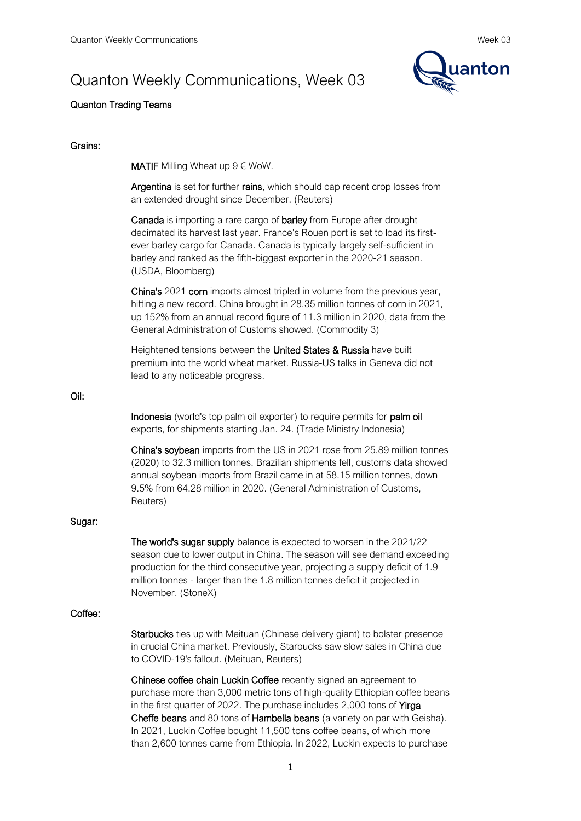# Quanton Weekly Communications, Week 03



# Quanton Trading Teams

## Grains:

**MATIF** Milling Wheat up  $9 \notin W$ oW.

Argentina is set for further rains, which should cap recent crop losses from an extended drought since December. (Reuters)

Canada is importing a rare cargo of barley from Europe after drought decimated its harvest last year. France's Rouen port is set to load its firstever barley cargo for Canada. Canada is typically largely self-sufficient in barley and ranked as the fifth-biggest exporter in the 2020-21 season. (USDA, Bloomberg)

China's 2021 corn imports almost tripled in volume from the previous year, hitting a new record. China brought in 28.35 million tonnes of corn in 2021, up 152% from an annual record figure of 11.3 million in 2020, data from the General Administration of Customs showed. (Commodity 3)

Heightened tensions between the United States & Russia have built premium into the world wheat market. Russia-US talks in Geneva did not lead to any noticeable progress.

#### Oil:

Indonesia (world's top palm oil exporter) to require permits for palm oil exports, for shipments starting Jan. 24. (Trade Ministry Indonesia)

China's soybean imports from the US in 2021 rose from 25.89 million tonnes (2020) to 32.3 million tonnes. Brazilian shipments fell, customs data showed annual soybean imports from Brazil came in at 58.15 million tonnes, down 9.5% from 64.28 million in 2020. (General Administration of Customs, Reuters)

## Sugar:

The world's sugar supply balance is expected to worsen in the 2021/22 season due to lower output in China. The season will see demand exceeding production for the third consecutive year, projecting a supply deficit of 1.9 million tonnes - larger than the 1.8 million tonnes deficit it projected in November. (StoneX)

## Coffee:

Starbucks ties up with Meituan (Chinese delivery giant) to bolster presence in crucial China market. Previously, Starbucks saw slow sales in China due to COVID-19's fallout. (Meituan, Reuters)

Chinese coffee chain Luckin Coffee recently signed an agreement to purchase more than 3,000 metric tons of high-quality Ethiopian coffee beans in the first quarter of 2022. The purchase includes 2,000 tons of Yirga Cheffe beans and 80 tons of Hambella beans (a variety on par with Geisha). In 2021, Luckin Coffee bought 11,500 tons coffee beans, of which more than 2,600 tonnes came from Ethiopia. In 2022, Luckin expects to purchase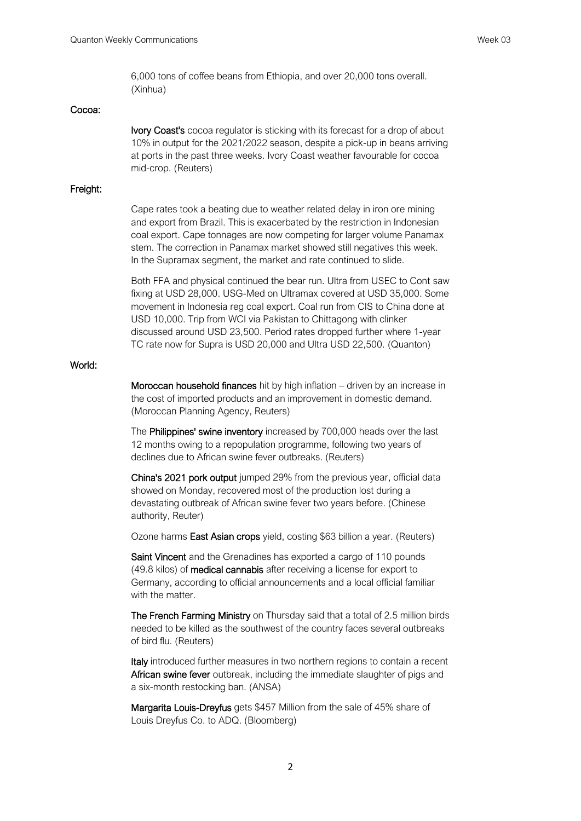6,000 tons of coffee beans from Ethiopia, and over 20,000 tons overall. (Xinhua)

## Cocoa:

Ivory Coast's cocoa regulator is sticking with its forecast for a drop of about 10% in output for the 2021/2022 season, despite a pick-up in beans arriving at ports in the past three weeks. Ivory Coast weather favourable for cocoa mid-crop. (Reuters)

## Freight:

Cape rates took a beating due to weather related delay in iron ore mining and export from Brazil. This is exacerbated by the restriction in Indonesian coal export. Cape tonnages are now competing for larger volume Panamax stem. The correction in Panamax market showed still negatives this week. In the Supramax segment, the market and rate continued to slide.

Both FFA and physical continued the bear run. Ultra from USEC to Cont saw fixing at USD 28,000. USG-Med on Ultramax covered at USD 35,000. Some movement in Indonesia reg coal export. Coal run from CIS to China done at USD 10,000. Trip from WCI via Pakistan to Chittagong with clinker discussed around USD 23,500. Period rates dropped further where 1-year TC rate now for Supra is USD 20,000 and Ultra USD 22,500. (Quanton)

## World:

Moroccan household finances hit by high inflation – driven by an increase in the cost of imported products and an improvement in domestic demand. (Moroccan Planning Agency, Reuters)

The Philippines' swine inventory increased by 700,000 heads over the last 12 months owing to a repopulation programme, following two years of declines due to African swine fever outbreaks. (Reuters)

China's 2021 pork output jumped 29% from the previous year, official data showed on Monday, recovered most of the production lost during a devastating outbreak of African swine fever two years before. (Chinese authority, Reuter)

Ozone harms East Asian crops yield, costing \$63 billion a year. (Reuters)

Saint Vincent and the Grenadines has exported a cargo of 110 pounds (49.8 kilos) of medical cannabis after receiving a license for export to Germany, according to official announcements and a local official familiar with the matter.

The French Farming Ministry on Thursday said that a total of 2.5 million birds needed to be killed as the southwest of the country faces several outbreaks of bird flu. (Reuters)

Italy introduced further measures in two northern regions to contain a recent African swine fever outbreak, including the immediate slaughter of pigs and a six-month restocking ban. (ANSA)

Margarita Louis-Dreyfus gets \$457 Million from the sale of 45% share of Louis Dreyfus Co. to ADQ. (Bloomberg)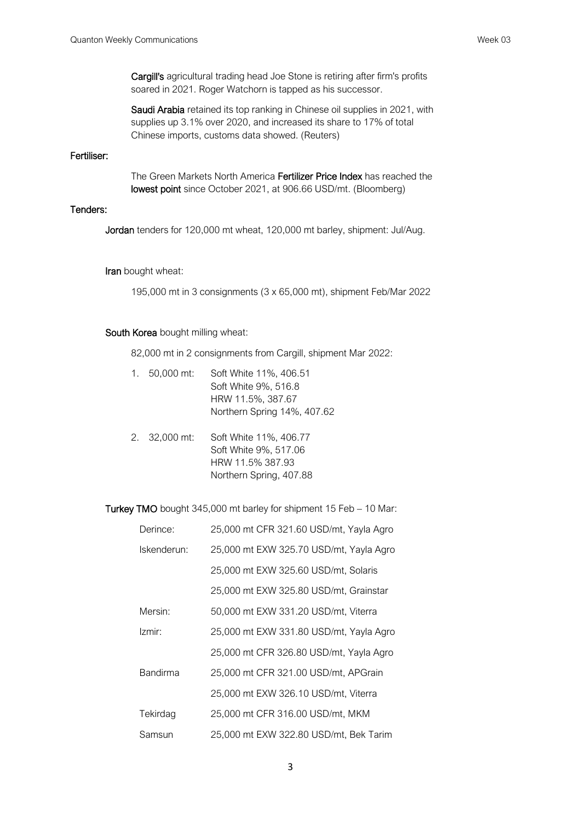Cargill's agricultural trading head Joe Stone is retiring after firm's profits soared in 2021. Roger Watchorn is tapped as his successor.

Saudi Arabia retained its top ranking in Chinese oil supplies in 2021, with supplies up 3.1% over 2020, and increased its share to 17% of total Chinese imports, customs data showed. (Reuters)

# Fertiliser:

The Green Markets North America Fertilizer Price Index has reached the lowest point since October 2021, at 906.66 USD/mt. (Bloomberg)

# Tenders:

Jordan tenders for 120,000 mt wheat, 120,000 mt barley, shipment: Jul/Aug.

#### Iran bought wheat:

195,000 mt in 3 consignments (3 x 65,000 mt), shipment Feb/Mar 2022

#### South Korea bought milling wheat:

82,000 mt in 2 consignments from Cargill, shipment Mar 2022:

| 1. $50,000$ mt: | Soft White 11%, 406.51<br>Soft White 9%, 516.8<br>HRW 11.5%, 387.67<br>Northern Spring 14%, 407.62 |
|-----------------|----------------------------------------------------------------------------------------------------|
| 2. 32,000 mt:   | Soft White 11%, 406.77<br>Soft White 9%, 517.06<br>HRW 11.5% 387.93<br>Northern Spring, 407.88     |

Turkey TMO bought 345,000 mt barley for shipment 15 Feb – 10 Mar:

| Derince:    | 25,000 mt CFR 321.60 USD/mt, Yayla Agro |
|-------------|-----------------------------------------|
| Iskenderun: | 25,000 mt EXW 325.70 USD/mt, Yayla Agro |
|             | 25,000 mt EXW 325.60 USD/mt, Solaris    |
|             | 25,000 mt EXW 325.80 USD/mt, Grainstar  |
| Mersin:     | 50,000 mt EXW 331.20 USD/mt, Viterra    |
| Izmir:      | 25,000 mt EXW 331.80 USD/mt, Yayla Agro |
|             | 25,000 mt CFR 326.80 USD/mt, Yayla Agro |
| Bandirma    | 25,000 mt CFR 321.00 USD/mt, APGrain    |
|             | 25,000 mt EXW 326.10 USD/mt, Viterra    |
| Tekirdag    | 25,000 mt CFR 316.00 USD/mt, MKM        |
| Samsun      | 25,000 mt EXW 322.80 USD/mt, Bek Tarim  |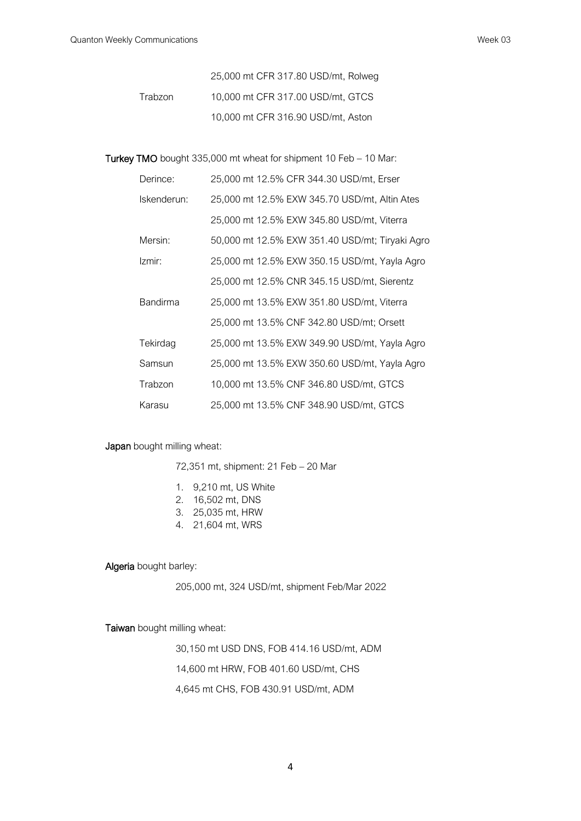25,000 mt CFR 317.80 USD/mt, Rolweg Trabzon 10,000 mt CFR 317.00 USD/mt, GTCS 10,000 mt CFR 316.90 USD/mt, Aston

Turkey TMO bought 335,000 mt wheat for shipment 10 Feb – 10 Mar:

| Derince:        | 25,000 mt 12.5% CFR 344.30 USD/mt, Erser        |
|-----------------|-------------------------------------------------|
| Iskenderun:     | 25,000 mt 12.5% EXW 345.70 USD/mt, Altin Ates   |
|                 | 25,000 mt 12.5% EXW 345.80 USD/mt, Viterra      |
| Mersin:         | 50,000 mt 12.5% EXW 351.40 USD/mt; Tiryaki Agro |
| Izmir:          | 25,000 mt 12.5% EXW 350.15 USD/mt, Yayla Agro   |
|                 | 25,000 mt 12.5% CNR 345.15 USD/mt, Sierentz     |
| <b>Bandirma</b> | 25,000 mt 13.5% EXW 351.80 USD/mt, Viterra      |
|                 | 25,000 mt 13.5% CNF 342.80 USD/mt; Orsett       |
| Tekirdag        | 25,000 mt 13.5% EXW 349.90 USD/mt, Yayla Agro   |
| Samsun          | 25,000 mt 13.5% EXW 350.60 USD/mt, Yayla Agro   |
| Trabzon         | 10,000 mt 13.5% CNF 346.80 USD/mt, GTCS         |
| Karasu          | 25,000 mt 13.5% CNF 348.90 USD/mt, GTCS         |

Japan bought milling wheat:

- 72,351 mt, shipment: 21 Feb 20 Mar
- 1. 9,210 mt, US White
- 2. 16,502 mt, DNS
- 3. 25,035 mt, HRW
- 4. 21,604 mt, WRS

Algeria bought barley:

205,000 mt, 324 USD/mt, shipment Feb/Mar 2022

Taiwan bought milling wheat:

30,150 mt USD DNS, FOB 414.16 USD/mt, ADM 14,600 mt HRW, FOB 401.60 USD/mt, CHS 4,645 mt CHS, FOB 430.91 USD/mt, ADM